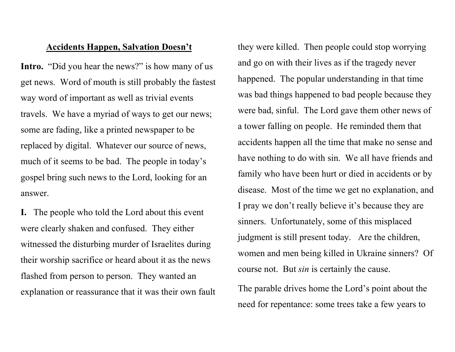## Accidents Happen, Salvation Doesn't

Intro. "Did you hear the news?" is how many of us get news. Word of mouth is still probably the fastest way word of important as well as trivial events travels. We have a myriad of ways to get our news; some are fading, like a printed newspaper to be replaced by digital. Whatever our source of news, much of it seems to be bad. The people in today's gospel bring such news to the Lord, looking for an answer.

I. The people who told the Lord about this event were clearly shaken and confused. They either witnessed the disturbing murder of Israelites during their worship sacrifice or heard about it as the news flashed from person to person. They wanted an explanation or reassurance that it was their own fault

they were killed. Then people could stop worrying and go on with their lives as if the tragedy never happened. The popular understanding in that time was bad things happened to bad people because they were bad, sinful. The Lord gave them other news of a tower falling on people. He reminded them that accidents happen all the time that make no sense and have nothing to do with sin. We all have friends and family who have been hurt or died in accidents or by disease. Most of the time we get no explanation, and I pray we don't really believe it's because they are sinners. Unfortunately, some of this misplaced judgment is still present today. Are the children, women and men being killed in Ukraine sinners? Of course not. But sin is certainly the cause.

The parable drives home the Lord's point about the need for repentance: some trees take a few years to